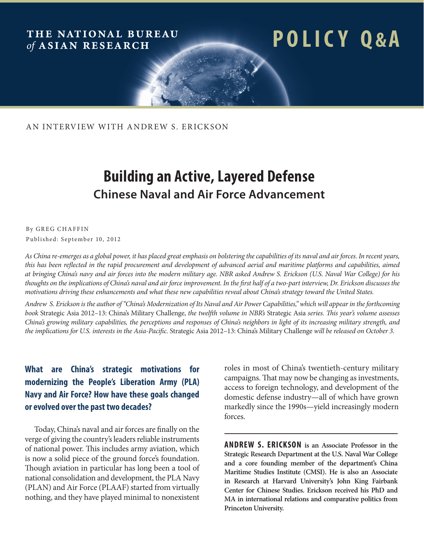#### THE NATIONAL BUREAU of ASIAN RESEARCH

# **p o l i c y q &a**

AN INTERVIEW WITH ANDREW S. ERICKSON

## **Building an Active, Layered Defense Chinese Naval and Air Force Advancement**

#### By GREG CHAFFIN Published: September 10, 2012

*As China re-emerges as a global power, it has placed great emphasis on bolstering the capabilities of its naval and air forces. In recent years, this has been reflected in the rapid procurement and development of advanced aerial and maritime platforms and capabilities, aimed at bringing China's navy and air forces into the modern military age. NBR asked Andrew S. Erickson (U.S. Naval War College) for his thoughts on the implications of China's naval and air force improvement. In the first half of a two-part interview, Dr. Erickson discusses the motivations driving these enhancements and what these new capabilities reveal about China's strategy toward the United States.* 

*Andrew S. Erickson is the author of "China's Modernization of Its Naval and Air Power Capabilities," which will appear in the forthcoming book* Strategic Asia 2012–13: China's Military Challenge, *the twelfth volume in NBR's* Strategic Asia *series. This year's volume assesses China's growing military capabilities, the perceptions and responses of China's neighbors in light of its increasing military strength, and the implications for U.S. interests in the Asia-Pacific.* Strategic Asia 2012–13: China's Military Challenge *will be released on October 3.*

#### **What are China's strategic motivations for modernizing the People's Liberation Army (PLA) Navy and Air Force? How have these goals changed or evolved over the past two decades?**

Today, China's naval and air forces are finally on the verge of giving the country's leaders reliable instruments of national power. This includes army aviation, which is now a solid piece of the ground force's foundation. Though aviation in particular has long been a tool of national consolidation and development, the PLA Navy (PLAN) and Air Force (PLAAF) started from virtually nothing, and they have played minimal to nonexistent roles in most of China's twentieth-century military campaigns. That may now be changing as investments, access to foreign technology, and development of the domestic defense industry—all of which have grown markedly since the 1990s—yield increasingly modern forces.

**ANDREW S. ERICKSON is an Associate Professor in the Strategic Research Department at the U.S. Naval War College and a core founding member of the department's China Maritime Studies Institute (CMSI). He is also an Associate in Research at Harvard University's John King Fairbank Center for Chinese Studies. Erickson received his PhD and MA in international relations and comparative politics from Princeton University.**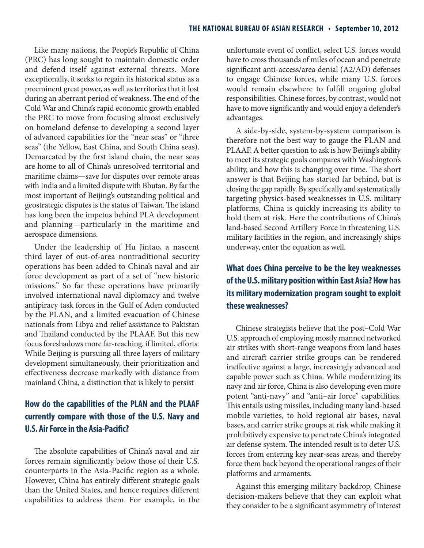Like many nations, the People's Republic of China (PRC) has long sought to maintain domestic order and defend itself against external threats. More exceptionally, it seeks to regain its historical status as a preeminent great power, as well as territories that it lost during an aberrant period of weakness. The end of the Cold War and China's rapid economic growth enabled the PRC to move from focusing almost exclusively on homeland defense to developing a second layer of advanced capabilities for the "near seas" or "three seas" (the Yellow, East China, and South China seas). Demarcated by the first island chain, the near seas are home to all of China's unresolved territorial and maritime claims—save for disputes over remote areas with India and a limited dispute with Bhutan. By far the most important of Beijing's outstanding political and geostrategic disputes is the status of Taiwan. The island has long been the impetus behind PLA development and planning—particularly in the maritime and aerospace dimensions.

Under the leadership of Hu Jintao, a nascent third layer of out-of-area nontraditional security operations has been added to China's naval and air force development as part of a set of "new historic missions." So far these operations have primarily involved international naval diplomacy and twelve antipiracy task forces in the Gulf of Aden conducted by the PLAN, and a limited evacuation of Chinese nationals from Libya and relief assistance to Pakistan and Thailand conducted by the PLAAF. But this new focus foreshadows more far-reaching, if limited, efforts. While Beijing is pursuing all three layers of military development simultaneously, their prioritization and effectiveness decrease markedly with distance from mainland China, a distinction that is likely to persist

#### **How do the capabilities of the PLAN and the PLAAF currently compare with those of the U.S. Navy and U.S. Air Force in the Asia-Pacific?**

The absolute capabilities of China's naval and air forces remain significantly below those of their U.S. counterparts in the Asia-Pacific region as a whole. However, China has entirely different strategic goals than the United States, and hence requires different capabilities to address them. For example, in the unfortunate event of conflict, select U.S. forces would have to cross thousands of miles of ocean and penetrate significant anti-access/area denial (A2/AD) defenses to engage Chinese forces, while many U.S. forces would remain elsewhere to fulfill ongoing global responsibilities. Chinese forces, by contrast, would not have to move significantly and would enjoy a defender's advantages.

A side-by-side, system-by-system comparison is therefore not the best way to gauge the PLAN and PLAAF. A better question to ask is how Beijing's ability to meet its strategic goals compares with Washington's ability, and how this is changing over time. The short answer is that Beijing has started far behind, but is closing the gap rapidly. By specifically and systematically targeting physics-based weaknesses in U.S. military platforms, China is quickly increasing its ability to hold them at risk. Here the contributions of China's land-based Second Artillery Force in threatening U.S. military facilities in the region, and increasingly ships underway, enter the equation as well.

#### **What does China perceive to be the key weaknesses of the U.S. military position within East Asia? How has its military modernization program sought to exploit these weaknesses?**

Chinese strategists believe that the post–Cold War U.S. approach of employing mostly manned networked air strikes with short-range weapons from land bases and aircraft carrier strike groups can be rendered ineffective against a large, increasingly advanced and capable power such as China. While modernizing its navy and air force, China is also developing even more potent "anti-navy" and "anti–air force" capabilities. This entails using missiles, including many land-based mobile varieties, to hold regional air bases, naval bases, and carrier strike groups at risk while making it prohibitively expensive to penetrate China's integrated air defense system. The intended result is to deter U.S. forces from entering key near-seas areas, and thereby force them back beyond the operational ranges of their platforms and armaments.

Against this emerging military backdrop, Chinese decision-makers believe that they can exploit what they consider to be a significant asymmetry of interest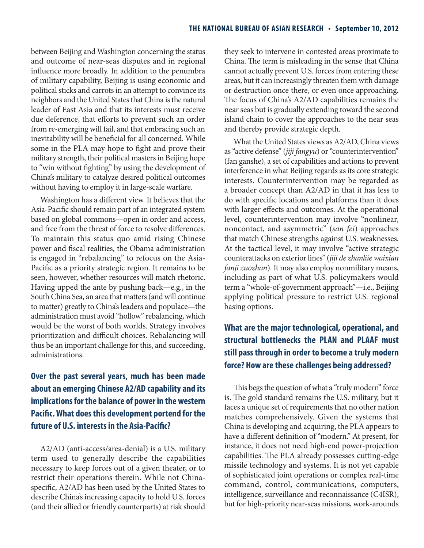between Beijing and Washington concerning the status and outcome of near-seas disputes and in regional influence more broadly. In addition to the penumbra of military capability, Beijing is using economic and political sticks and carrots in an attempt to convince its neighbors and the United States that China is the natural leader of East Asia and that its interests must receive due deference, that efforts to prevent such an order from re-emerging will fail, and that embracing such an inevitability will be beneficial for all concerned. While some in the PLA may hope to fight and prove their military strength, their political masters in Beijing hope to "win without fighting" by using the development of China's military to catalyze desired political outcomes without having to employ it in large-scale warfare.

Washington has a different view. It believes that the Asia-Pacific should remain part of an integrated system based on global commons—open in order and access, and free from the threat of force to resolve differences. To maintain this status quo amid rising Chinese power and fiscal realities, the Obama administration is engaged in "rebalancing" to refocus on the Asia-Pacific as a priority strategic region. It remains to be seen, however, whether resources will match rhetoric. Having upped the ante by pushing back—e.g., in the South China Sea, an area that matters (and will continue to matter) greatly to China's leaders and populace—the administration must avoid "hollow" rebalancing, which would be the worst of both worlds. Strategy involves prioritization and difficult choices. Rebalancing will thus be an important challenge for this, and succeeding, administrations.

### **Over the past several years, much has been made about an emerging Chinese A2/AD capability and its implications for the balance of power in the western Pacific. What does this development portend for the future of U.S. interests in the Asia-Pacific?**

A2/AD (anti-access/area-denial) is a U.S. military term used to generally describe the capabilities necessary to keep forces out of a given theater, or to restrict their operations therein. While not Chinaspecific, A2/AD has been used by the United States to describe China's increasing capacity to hold U.S. forces (and their allied or friendly counterparts) at risk should they seek to intervene in contested areas proximate to China. The term is misleading in the sense that China cannot actually prevent U.S. forces from entering these areas, but it can increasingly threaten them with damage or destruction once there, or even once approaching. The focus of China's A2/AD capabilities remains the near seas but is gradually extending toward the second island chain to cover the approaches to the near seas and thereby provide strategic depth.

What the United States views as A2/AD, China views as "active defense" (*jiji fangyu*) or "counterintervention" (fan ganshe), a set of capabilities and actions to prevent interference in what Beijing regards as its core strategic interests. Counterintervention may be regarded as a broader concept than A2/AD in that it has less to do with specific locations and platforms than it does with larger effects and outcomes. At the operational level, counterintervention may involve "nonlinear, noncontact, and asymmetric" (*san fei*) approaches that match Chinese strengths against U.S. weaknesses. At the tactical level, it may involve "active strategic counterattacks on exterior lines" (*jiji de zhanlüe waixian fanji zuozhan*). It may also employ nonmilitary means, including as part of what U.S. policymakers would term a "whole-of-government approach"—i.e., Beijing applying political pressure to restrict U.S. regional basing options.

### **What are the major technological, operational, and structural bottlenecks the PLAN and PLAAF must still pass through in order to become a truly modern force? How are these challenges being addressed?**

This begs the question of what a "truly modern" force is. The gold standard remains the U.S. military, but it faces a unique set of requirements that no other nation matches comprehensively. Given the systems that China is developing and acquiring, the PLA appears to have a different definition of "modern." At present, for instance, it does not need high-end power-projection capabilities. The PLA already possesses cutting-edge missile technology and systems. It is not yet capable of sophisticated joint operations or complex real-time command, control, communications, computers, intelligence, surveillance and reconnaissance (C4ISR), but for high-priority near-seas missions, work-arounds